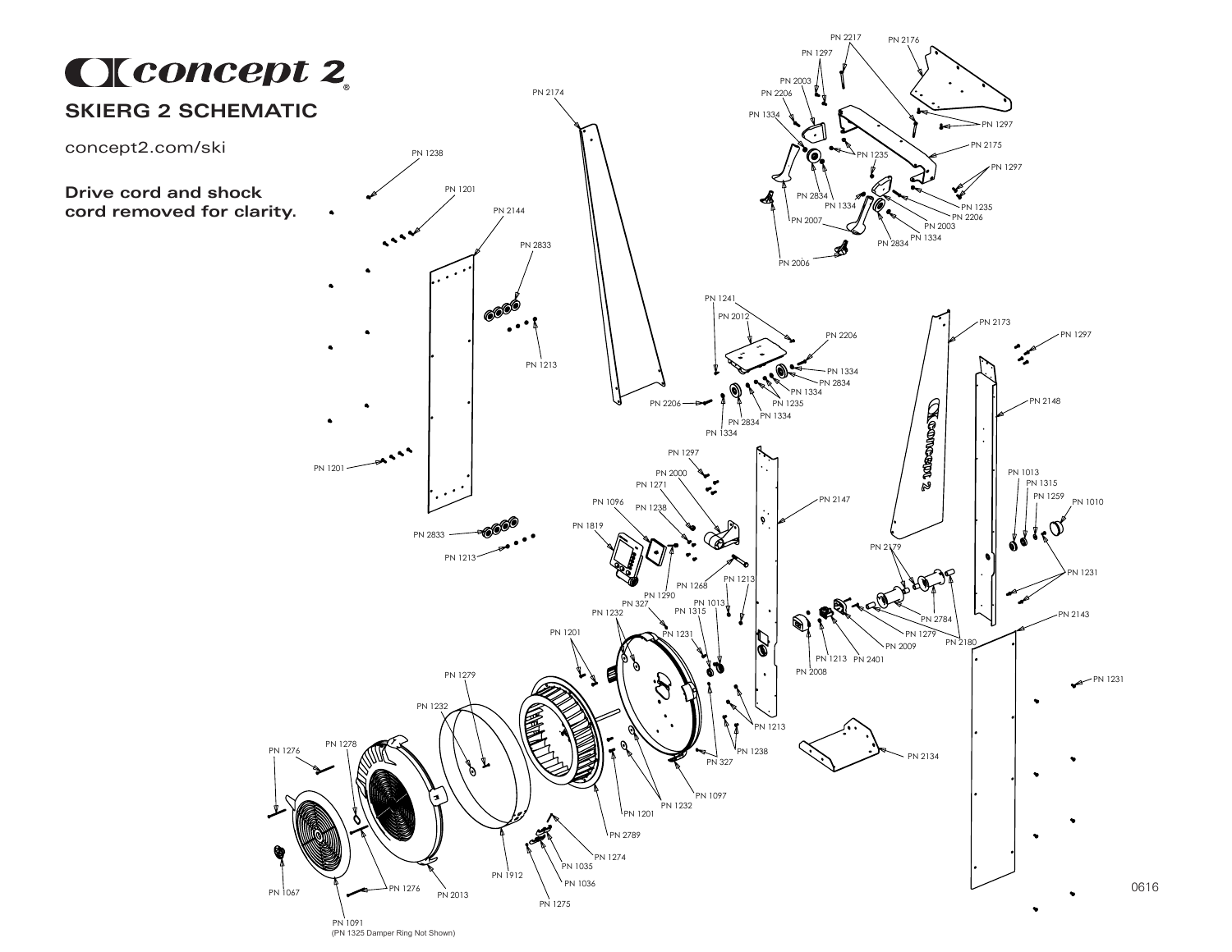